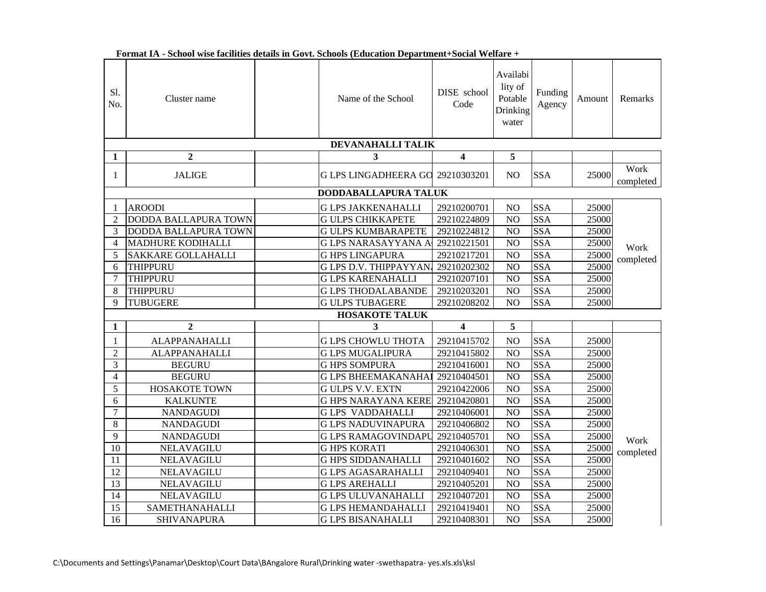| S1.<br>No.     | Cluster name                | Name of the School           | DISE school<br>Code              | Availabi<br>lity of<br>Potable<br>Drinking<br>water | Funding<br>Agency       | Amount | <b>Remarks</b>    |
|----------------|-----------------------------|------------------------------|----------------------------------|-----------------------------------------------------|-------------------------|--------|-------------------|
|                |                             | DEVANAHALLI TALIK            |                                  |                                                     |                         |        |                   |
| 1              | $\overline{2}$              | 3                            | $\overline{\mathbf{4}}$          | 5                                                   |                         |        |                   |
| 1              | <b>JALIGE</b>               |                              | G LPS LINGADHEERA GO 29210303201 | NO                                                  | <b>SSA</b>              | 25000  | Work<br>completed |
|                |                             | DODDABALLAPURA TALUK         |                                  |                                                     |                         |        |                   |
| 1              | <b>AROODI</b>               | <b>G LPS JAKKENAHALLI</b>    | 29210200701                      | NO                                                  | <b>SSA</b>              | 25000  |                   |
| $\mathfrak{D}$ | <b>DODDA BALLAPURA TOWN</b> | <b>G ULPS CHIKKAPETE</b>     | 29210224809                      | N <sub>O</sub>                                      | <b>SSA</b>              | 25000  |                   |
| 3              | DODDA BALLAPURA TOWN        | <b>GULPS KUMBARAPETE</b>     | 29210224812                      | N <sub>O</sub>                                      | <b>SSA</b>              | 25000  |                   |
| $\overline{4}$ | <b>MADHURE KODIHALLI</b>    | <b>GLPS NARASAYYANA A</b>    | 29210221501                      | N <sub>O</sub>                                      | <b>SSA</b>              | 25000  | Work              |
| 5              | <b>SAKKARE GOLLAHALLI</b>   | <b>G HPS LINGAPURA</b>       | 29210217201                      | N <sub>O</sub>                                      | <b>SSA</b>              | 25000  | completed         |
| 6              | THIPPURU                    | <b>GLPS D.V. THIPPAYYAN.</b> | 29210202302                      | N <sub>O</sub>                                      | <b>SSA</b>              | 25000  |                   |
| $\overline{7}$ | THIPPURU                    | <b>G LPS KARENAHALLI</b>     | 29210207101                      | NO                                                  | <b>SSA</b>              | 25000  |                   |
| 8              | <b>THIPPURU</b>             | <b>G LPS THODALABANDE</b>    | 29210203201                      | N <sub>O</sub>                                      | <b>SSA</b>              | 25000  |                   |
| $\mathbf Q$    | <b>TUBUGERE</b>             | <b>G ULPS TUBAGERE</b>       | 29210208202                      | N <sub>O</sub>                                      | <b>SSA</b>              | 25000  |                   |
|                |                             | <b>HOSAKOTE TALUK</b>        |                                  |                                                     |                         |        |                   |
| 1              | $\overline{2}$              | 3                            | $\overline{\mathbf{4}}$          | 5                                                   |                         |        |                   |
| 1              | <b>ALAPPANAHALLI</b>        | <b>G LPS CHOWLU THOTA</b>    | 29210415702                      | N <sub>O</sub>                                      | <b>SSA</b>              | 25000  |                   |
| $\overline{2}$ | <b>ALAPPANAHALLI</b>        | <b>G LPS MUGALIPURA</b>      | 29210415802                      | NO                                                  | <b>SSA</b>              | 25000  |                   |
| 3              | <b>BEGURU</b>               | <b>G HPS SOMPURA</b>         | 29210416001                      | NO                                                  | <b>SSA</b>              | 25000  |                   |
| $\overline{4}$ | <b>BEGURU</b>               | <b>G LPS BHEEMAKANAHAI</b>   | 29210404501                      | N <sub>O</sub>                                      | $\overline{\text{SSA}}$ | 25000  |                   |
| 5              | <b>HOSAKOTE TOWN</b>        | <b>GULPS V.V. EXTN</b>       | 29210422006                      | $\overline{NO}$                                     | <b>SSA</b>              | 25000  |                   |
| 6              | <b>KALKUNTE</b>             | <b>G HPS NARAYANA KERE</b>   | 29210420801                      | NO                                                  | <b>SSA</b>              | 25000  |                   |
| $\overline{7}$ | <b>NANDAGUDI</b>            | <b>GLPS VADDAHALLI</b>       | 29210406001                      | N <sub>O</sub>                                      | <b>SSA</b>              | 25000  |                   |
| 8              | <b>NANDAGUDI</b>            | <b>G LPS NADUVINAPURA</b>    | 29210406802                      | NO                                                  | <b>SSA</b>              | 25000  |                   |
| 9              | <b>NANDAGUDI</b>            | <b>G LPS RAMAGOVINDAPL</b>   | 29210405701                      | NO                                                  | <b>SSA</b>              | 25000  | Work              |
| 10             | NELAVAGILU                  | <b>GHPS KORATI</b>           | 29210406301                      | NO                                                  | <b>SSA</b>              | 25000  | completed         |
| 11             | NELAVAGILU                  | <b>G HPS SIDDANAHALLI</b>    | 29210401602                      | $\overline{NO}$                                     | <b>SSA</b>              | 25000  |                   |
| 12             | NELAVAGILU                  | <b>G LPS AGASARAHALLI</b>    | 29210409401                      | NO                                                  | <b>SSA</b>              | 25000  |                   |
| 13             | NELAVAGILU                  | <b>G LPS AREHALLI</b>        | 29210405201                      | N <sub>O</sub>                                      | <b>SSA</b>              | 25000  |                   |
| 14             | NELAVAGILU                  | <b>GLPS ULUVANAHALLI</b>     | 29210407201                      | N <sub>O</sub>                                      | <b>SSA</b>              | 25000  |                   |
| 15             | SAMETHANAHALLI              | <b>G LPS HEMANDAHALLI</b>    | 29210419401                      | NO                                                  | <b>SSA</b>              | 25000  |                   |
| 16             | SHIVANAPURA                 | <b>G LPS BISANAHALLI</b>     | 29210408301                      | N <sub>O</sub>                                      | <b>SSA</b>              | 25000  |                   |

| Format IA - School wise facilities details in Govt. Schools (Education Department+Social Welfare + |  |  |  |  |  |  |  |
|----------------------------------------------------------------------------------------------------|--|--|--|--|--|--|--|
|----------------------------------------------------------------------------------------------------|--|--|--|--|--|--|--|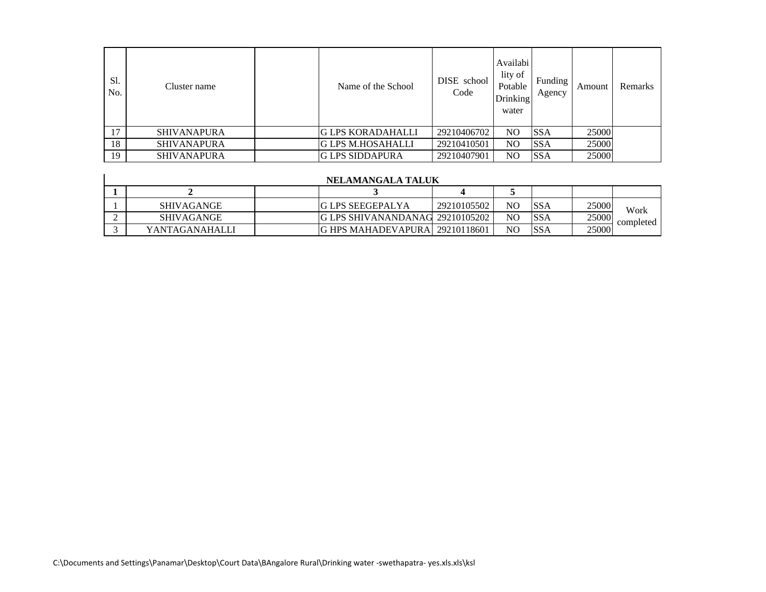| S1.<br>No. | Cluster name       | Name of the School       | DISE school<br>Code | Availabi<br>lity of<br>Potable<br><b>Drinking</b><br>water | Funding<br>Agency | Amount | Remarks |
|------------|--------------------|--------------------------|---------------------|------------------------------------------------------------|-------------------|--------|---------|
| 17         | <b>SHIVANAPURA</b> | <b>G LPS KORADAHALLI</b> | 29210406702         | N <sub>O</sub>                                             | <b>SSA</b>        | 25000  |         |
| 18         | <b>SHIVANAPURA</b> | <b>G LPS M.HOSAHALLI</b> | 29210410501         | NO                                                         | <b>SSA</b>        | 25000  |         |
| 19         | <b>SHIVANAPURA</b> | <b>G LPS SIDDAPURA</b>   | 29210407901         | NO                                                         | <b>SSA</b>        | 25000  |         |

| NELAMANGALA TALUK |  |                                        |             |                |             |       |           |  |
|-------------------|--|----------------------------------------|-------------|----------------|-------------|-------|-----------|--|
|                   |  |                                        |             |                |             |       |           |  |
| <b>SHIVAGANGE</b> |  | IG LPS SEEGEPALYA                      | 29210105502 | NC             | <b>ISSA</b> | 25000 | Work      |  |
| <b>SHIVAGANGE</b> |  | <b>G LPS SHIVANANDANAG 29210105202</b> |             | NC.            | <b>SSA</b>  | 25000 | completed |  |
| YANTAGANAHALLI    |  | IG HPS MAHADEVAPURAL 29210118601       |             | N <sub>C</sub> | <b>ISSA</b> | 25000 |           |  |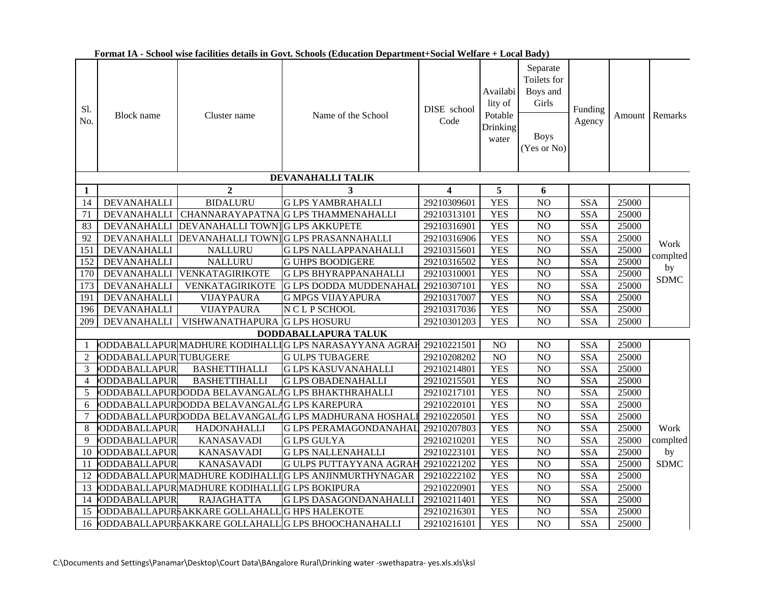| Sl.<br>No.      | <b>Block</b> name            | Cluster name                                 | Name of the School                                    | DISE school<br>Code     | Availabi<br>lity of<br>Potable<br>Drinking<br>water | Separate<br>Toilets for<br>Boys and<br>Girls<br><b>Boys</b><br>(Yes or No) | Funding<br>Agency |       | Amount Remarks |
|-----------------|------------------------------|----------------------------------------------|-------------------------------------------------------|-------------------------|-----------------------------------------------------|----------------------------------------------------------------------------|-------------------|-------|----------------|
|                 |                              |                                              | DEVANAHALLI TALIK                                     |                         |                                                     |                                                                            |                   |       |                |
| 1               |                              | $\overline{2}$                               | 3                                                     | $\overline{\mathbf{4}}$ | 5                                                   | 6                                                                          |                   |       |                |
| 14              | <b>DEVANAHALLI</b>           | <b>BIDALURU</b>                              | <b>G LPS YAMBRAHALLI</b>                              | 29210309601             | <b>YES</b>                                          | NO                                                                         | <b>SSA</b>        | 25000 |                |
| $\overline{71}$ |                              | DEVANAHALLI CHANNARAYAPATNA                  | <b>G LPS THAMMENAHALLI</b>                            | 29210313101             | <b>YES</b>                                          | $\overline{NO}$                                                            | SSA               | 25000 |                |
| 83              | <b>DEVANAHALLI</b>           | DEVANAHALLI TOWN G LPS AKKUPETE              |                                                       | 29210316901             | <b>YES</b>                                          | $\overline{NO}$                                                            | <b>SSA</b>        | 25000 |                |
| 92              |                              |                                              | DEVANAHALLI DEVANAHALLI TOWN G LPS PRASANNAHALLI      | 29210316906             | <b>YES</b>                                          | $\overline{NO}$                                                            | <b>SSA</b>        | 25000 | Work           |
| 151             | <b>DEVANAHALLI</b>           | <b>NALLURU</b>                               | <b>G LPS NALLAPPANAHALLI</b>                          | 29210315601             | <b>YES</b>                                          | NO                                                                         | <b>SSA</b>        | 25000 | complted       |
| 152             | <b>DEVANAHALLI</b>           | <b>NALLURU</b>                               | <b>G UHPS BOODIGERE</b>                               | 29210316502             | <b>YES</b>                                          | $\rm NO$                                                                   | <b>SSA</b>        | 25000 | by             |
| 170             | <b>DEVANAHALLI</b>           | VENKATAGIRIKOTE                              | <b>G LPS BHYRAPPANAHALLI</b>                          | 29210310001             | <b>YES</b>                                          | $\overline{NO}$                                                            | <b>SSA</b>        | 25000 | SDMC           |
| 173             | <b>DEVANAHALLI</b>           | VENKATAGIRIKOTE                              | <b>G LPS DODDA MUDDENAHAI</b>                         | 29210307101             | <b>YES</b>                                          | N <sub>O</sub>                                                             | <b>SSA</b>        | 25000 |                |
| 191             | <b>DEVANAHALLI</b>           | <b>VIJAYPAURA</b>                            | <b>G MPGS VIJAYAPURA</b>                              | 29210317007             | <b>YES</b>                                          | NO                                                                         | <b>SSA</b>        | 25000 |                |
| 196             | DEVANAHALLI                  | VIJAYPAURA                                   | N C L P SCHOOL                                        | 29210317036             | <b>YES</b>                                          | NO                                                                         | <b>SSA</b>        | 25000 |                |
| 209             | <b>DEVANAHALLI</b>           | VISHWANATHAPURA                              | <b>G LPS HOSURU</b>                                   | 29210301203             | <b>YES</b>                                          | NO                                                                         | <b>SSA</b>        | 25000 |                |
|                 |                              |                                              | DODDABALLAPURA TALUK                                  |                         |                                                     |                                                                            |                   |       |                |
| $\mathbf{1}$    |                              |                                              | ODDABALLAPUR MADHURE KODIHALLIG LPS NARASAYYANA AGRAH | 29210221501             | N <sub>O</sub>                                      | NO                                                                         | <b>SSA</b>        | 25000 |                |
| 2               | <b>ODDABALLAPUR TUBUGERE</b> |                                              | <b>GULPS TUBAGERE</b>                                 | 29210208202             | $\overline{NO}$                                     | $\overline{NO}$                                                            | <b>SSA</b>        | 25000 |                |
| $\overline{3}$  | <b>ODDABALLAPUR</b>          | <b>BASHETTIHALLI</b>                         | <b>G LPS KASUVANAHALLI</b>                            | 29210214801             | <b>YES</b>                                          | NO                                                                         | <b>SSA</b>        | 25000 |                |
| $\overline{4}$  | ODDABALLAPUR                 | <b>BASHETTIHALLI</b>                         | <b>G LPS OBADENAHALLI</b>                             | 29210215501             | <b>YES</b>                                          | NO                                                                         | <b>SSA</b>        | 25000 |                |
| 5               |                              | ODDABALLAPURDODDA BELAVANGAL                 | <b>G LPS BHAKTHRAHALLI</b>                            | 29210217101             | <b>YES</b>                                          | NO                                                                         | <b>SSA</b>        | 25000 |                |
| 6               |                              | ODDABALLAPURDODDA BELAVANGAL                 | <b>AG LPS KAREPURA</b>                                | 29210220101             | <b>YES</b>                                          | NO                                                                         | <b>SSA</b>        | 25000 |                |
| $\tau$          |                              |                                              | ODDABALLAPURDODDA BELAVANGALAG LPS MADHURANA HOSHAL   | 29210220501             | <b>YES</b>                                          | N <sub>O</sub>                                                             | <b>SSA</b>        | 25000 |                |
| $\,8\,$         | ODDABALLAPUR                 | HADONAHALLI                                  | <b>G LPS PERAMAGONDANAHAI</b>                         | 29210207803             | <b>YES</b>                                          | $\rm NO$                                                                   | <b>SSA</b>        | 25000 | Work           |
| 9               | ODDABALLAPUR                 | <b>KANASAVADI</b>                            | <b>G LPS GULYA</b>                                    | 29210210201             | <b>YES</b>                                          | NO                                                                         | <b>SSA</b>        | 25000 | complted       |
| 10              | ODDABALLAPUR                 | <b>KANASAVADI</b>                            | <b>G LPS NALLENAHALLI</b>                             | 29210223101             | <b>YES</b>                                          | $\overline{NO}$                                                            | <b>SSA</b>        | 25000 | by             |
| 11              | ODDABALLAPUR                 | <b>KANASAVADI</b>                            | <b>G ULPS PUTTAYYANA AGRAI</b>                        | 29210221202             | <b>YES</b>                                          | $\overline{NO}$                                                            | <b>SSA</b>        | 25000 | <b>SDMC</b>    |
| 12              |                              | ODDABALLAPUR MADHURE KODIHALI                | IG LPS ANJINMURTHYNAGAR                               | 29210222102             | <b>YES</b>                                          | N <sub>O</sub>                                                             | <b>SSA</b>        | 25000 |                |
| 13              |                              | ODDABALLAPUR MADHURE KODIHALLIG LPS BOKIPURA |                                                       | 29210220901             | <b>YES</b>                                          | NO                                                                         | <b>SSA</b>        | 25000 |                |
| 14              | ODDABALLAPUR                 | <b>RAJAGHATTA</b>                            | <b>G LPS DASAGONDANAHALLI</b>                         | 29210211401             | <b>YES</b>                                          | $\rm NO$                                                                   | <b>SSA</b>        | 25000 |                |
| $\overline{15}$ |                              | ODDABALLAPURSAKKARE GOLLAHALL                | <b>G HPS HALEKOTE</b>                                 | 29210216301             | <b>YES</b>                                          | $\overline{NO}$                                                            | <b>SSA</b>        | 25000 |                |
|                 |                              |                                              | 16 ODDABALLAPURSAKKARE GOLLAHALL G LPS BHOOCHANAHALLI | 29210216101             | <b>YES</b>                                          | NO                                                                         | <b>SSA</b>        | 25000 |                |

**Format IA - School wise facilities details in Govt. Schools (Education Department+Social Welfare + Local Bady)**